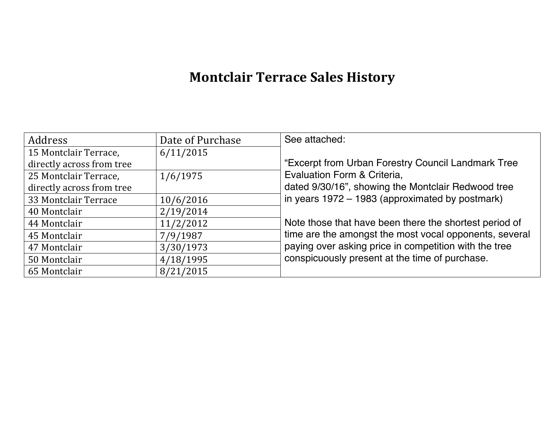# **Montclair Terrace Sales History**

| Address                   | Date of Purchase | See attached:                                          |
|---------------------------|------------------|--------------------------------------------------------|
| 15 Montclair Terrace,     | 6/11/2015        |                                                        |
| directly across from tree |                  | "Excerpt from Urban Forestry Council Landmark Tree     |
| 25 Montclair Terrace,     | 1/6/1975         | Evaluation Form & Criteria,                            |
| directly across from tree |                  | dated 9/30/16", showing the Montclair Redwood tree     |
| 33 Montclair Terrace      | 10/6/2016        | in years 1972 – 1983 (approximated by postmark)        |
| 40 Montclair              | 2/19/2014        |                                                        |
| 44 Montclair              | 11/2/2012        | Note those that have been there the shortest period of |
| 45 Montclair              | 7/9/1987         | time are the amongst the most vocal opponents, several |
| 47 Montclair              | 3/30/1973        | paying over asking price in competition with the tree  |
| 50 Montclair              | 4/18/1995        | conspicuously present at the time of purchase.         |
| 65 Montclair              | 8/21/2015        |                                                        |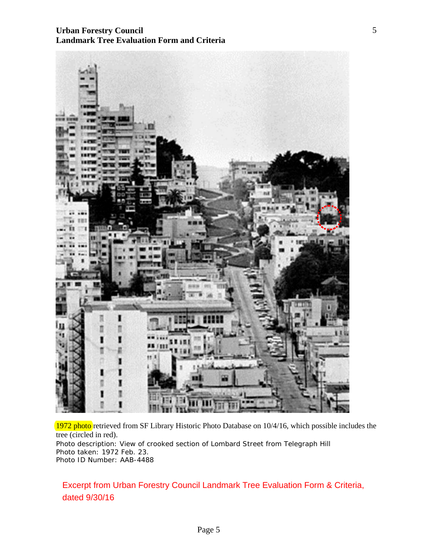## **Urban Forestry Council Landmark Tree Evaluation Form and Criteria**



1972 photo retrieved from SF Library Historic Photo Database on 10/4/16, which possible includes the tree (circled in red). Photo description: View of crooked section of Lombard Street from Telegraph Hill Photo taken: 1972 Feb. 23. Photo ID Number: AAB-4488

Excerpt from Urban Forestry Council Landmark Tree Evaluation Form & Criteria, dated 9/30/16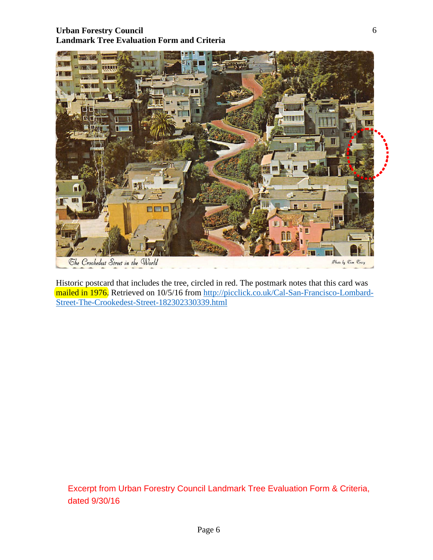# **Urban Forestry Council Landmark Tree Evaluation Form and Criteria**



Historic postcard that includes the tree, circled in red. The postmark notes that this card was mailed in 1976. Retrieved on 10/5/16 from [http://picclick.co.uk/Cal-San-Francisco-Lombard-](http://picclick.co.uk/Cal-San-Francisco-Lombard-Street-The-Crookedest-Street-182302330339.html)[Street-The-Crookedest-Street-182302330339.html](http://picclick.co.uk/Cal-San-Francisco-Lombard-Street-The-Crookedest-Street-182302330339.html)

Excerpt from Urban Forestry Council Landmark Tree Evaluation Form & Criteria, dated 9/30/16